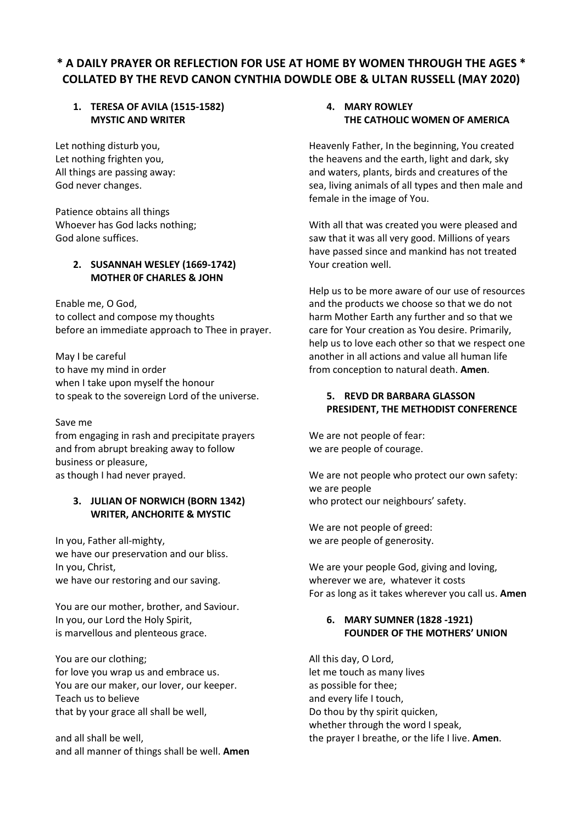# **\* A DAILY PRAYER OR REFLECTION FOR USE AT HOME BY WOMEN THROUGH THE AGES \* COLLATED BY THE REVD CANON CYNTHIA DOWDLE OBE & ULTAN RUSSELL (MAY 2020)**

# **1. TERESA OF AVILA (1515-1582) MYSTIC AND WRITER**

Let nothing disturb you, Let nothing frighten you, All things are passing away: God never changes.

Patience obtains all things Whoever has God lacks nothing; God alone suffices.

# **2. SUSANNAH WESLEY (1669-1742) MOTHER 0F CHARLES & JOHN**

Enable me, O God, to collect and compose my thoughts before an immediate approach to Thee in prayer.

May I be careful to have my mind in order when I take upon myself the honour to speak to the sovereign Lord of the universe.

#### Save me

from engaging in rash and precipitate prayers and from abrupt breaking away to follow business or pleasure, as though I had never prayed.

## **3. JULIAN OF NORWICH (BORN 1342) WRITER, ANCHORITE & MYSTIC**

In you, Father all-mighty, we have our preservation and our bliss. In you, Christ, we have our restoring and our saving.

You are our mother, brother, and Saviour. In you, our Lord the Holy Spirit, is marvellous and plenteous grace.

You are our clothing; for love you wrap us and embrace us. You are our maker, our lover, our keeper. Teach us to believe that by your grace all shall be well,

and all shall be well, and all manner of things shall be well. **Amen**

## **4. MARY ROWLEY THE CATHOLIC WOMEN OF AMERICA**

Heavenly Father, In the beginning, You created the heavens and the earth, light and dark, sky and waters, plants, birds and creatures of the sea, living animals of all types and then male and female in the image of You.

With all that was created you were pleased and saw that it was all very good. Millions of years have passed since and mankind has not treated Your creation well.

Help us to be more aware of our use of resources and the products we choose so that we do not harm Mother Earth any further and so that we care for Your creation as You desire. Primarily, help us to love each other so that we respect one another in all actions and value all human life from conception to natural death. **Amen**.

## **5. REVD DR BARBARA GLASSON PRESIDENT, THE METHODIST CONFERENCE**

We are not people of fear: we are people of courage.

We are not people who protect our own safety: we are people who protect our neighbours' safety.

We are not people of greed: we are people of generosity.

We are your people God, giving and loving, wherever we are, whatever it costs For as long as it takes wherever you call us. **Amen**

# **6. MARY SUMNER (1828 -1921) FOUNDER OF THE MOTHERS' UNION**

All this day, O Lord, let me touch as many lives as possible for thee; and every life I touch, Do thou by thy spirit quicken, whether through the word I speak, the prayer I breathe, or the life I live. **Amen**.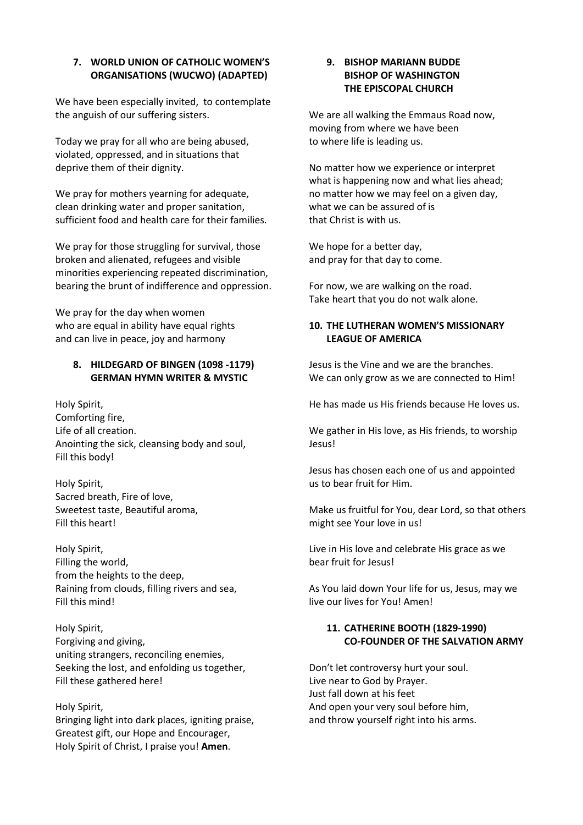## **7. WORLD UNION OF CATHOLIC WOMEN'S ORGANISATIONS (WUCWO) (ADAPTED)**

We have been especially invited, to contemplate the anguish of our suffering sisters.

Today we pray for all who are being abused, violated, oppressed, and in situations that deprive them of their dignity.

We pray for mothers yearning for adequate, clean drinking water and proper sanitation, sufficient food and health care for their families.

We pray for those struggling for survival, those broken and alienated, refugees and visible minorities experiencing repeated discrimination, bearing the brunt of indifference and oppression.

We pray for the day when women who are equal in ability have equal rights and can live in peace, joy and harmony

## **8. HILDEGARD OF BINGEN (1098 -1179) GERMAN HYMN WRITER & MYSTIC**

Holy Spirit, Comforting fire, Life of all creation. Anointing the sick, cleansing body and soul, Fill this body!

Holy Spirit, Sacred breath, Fire of love, Sweetest taste, Beautiful aroma, Fill this heart!

Holy Spirit, Filling the world, from the heights to the deep, Raining from clouds, filling rivers and sea, Fill this mind!

Holy Spirit, Forgiving and giving, uniting strangers, reconciling enemies, Seeking the lost, and enfolding us together, Fill these gathered here!

Holy Spirit, Bringing light into dark places, igniting praise, Greatest gift, our Hope and Encourager, Holy Spirit of Christ, I praise you! **Amen**.

## **9. BISHOP MARIANN BUDDE BISHOP OF WASHINGTON THE EPISCOPAL CHURCH**

We are all walking the Emmaus Road now, moving from where we have been to where life is leading us.

No matter how we experience or interpret what is happening now and what lies ahead; no matter how we may feel on a given day, what we can be assured of is that Christ is with us.

We hope for a better day, and pray for that day to come.

For now, we are walking on the road. Take heart that you do not walk alone.

# **10. THE LUTHERAN WOMEN'S MISSIONARY LEAGUE OF AMERICA**

Jesus is the Vine and we are the branches. We can only grow as we are connected to Him!

He has made us His friends because He loves us.

We gather in His love, as His friends, to worship Jesus!

Jesus has chosen each one of us and appointed us to bear fruit for Him.

Make us fruitful for You, dear Lord, so that others might see Your love in us!

Live in His love and celebrate His grace as we bear fruit for Jesus!

As You laid down Your life for us, Jesus, may we live our lives for You! Amen!

# **11. CATHERINE BOOTH (1829-1990) CO-FOUNDER OF THE SALVATION ARMY**

Don't let controversy hurt your soul. Live near to God by Prayer. Just fall down at his feet And open your very soul before him, and throw yourself right into his arms.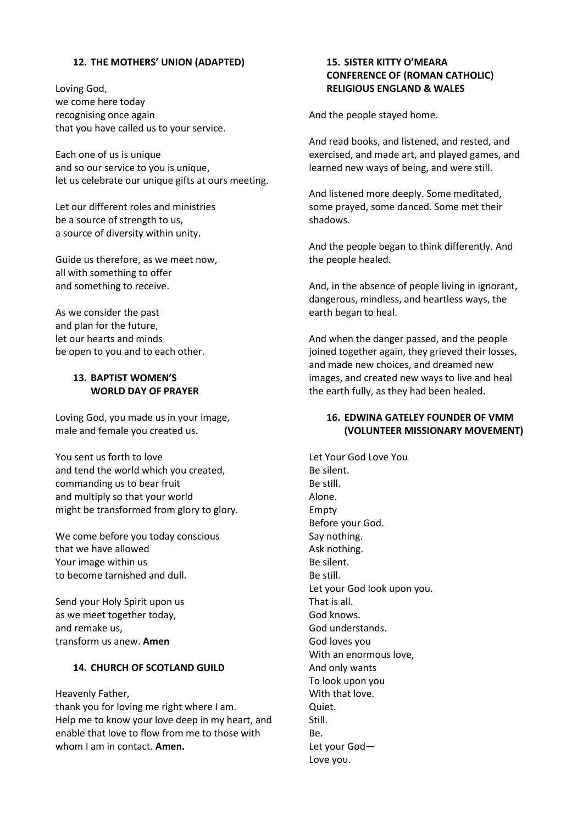#### **12. THE MOTHERS' UNION (ADAPTED)**

Loving God, we come here today recognising once again that you have called us to your service.

Each one of us is unique and so our service to you is unique, let us celebrate our unique gifts at ours meeting.

Let our different roles and ministries be a source of strength to us, a source of diversity within unity.

Guide us therefore, as we meet now, all with something to offer and something to receive.

As we consider the past and plan for the future, let our hearts and minds be open to you and to each other.

## **13. BAPTIST WOMEN'S WORLD DAY OF PRAYER**

Loving God, you made us in your image, male and female you created us.

You sent us forth to love and tend the world which you created, commanding us to bear fruit and multiply so that your world might be transformed from glory to glory.

We come before you today conscious that we have allowed Your image within us to become tarnished and dull.

Send your Holy Spirit upon us as we meet together today, and remake us, transform us anew. **Amen**

# **14. CHURCH OF SCOTLAND GUILD**

Heavenly Father,

thank you for loving me right where I am. Help me to know your love deep in my heart, and enable that love to flow from me to those with whom I am in contact. **Amen.**

## **15. SISTER KITTY O'MEARA CONFERENCE OF (ROMAN CATHOLIC) RELIGIOUS ENGLAND & WALES**

And the people stayed home.

And read books, and listened, and rested, and exercised, and made art, and played games, and learned new ways of being, and were still.

And listened more deeply. Some meditated, some prayed, some danced. Some met their shadows.

And the people began to think differently. And the people healed.

And, in the absence of people living in ignorant, dangerous, mindless, and heartless ways, the earth began to heal.

And when the danger passed, and the people joined together again, they grieved their losses, and made new choices, and dreamed new images, and created new ways to live and heal the earth fully, as they had been healed.

## **16. EDWINA GATELEY FOUNDER OF VMM (VOLUNTEER MISSIONARY MOVEMENT)**

Let Your God Love You Be silent. Be still. Alone. Empty Before your God. Say nothing. Ask nothing. Be silent. Be still. Let your God look upon you. That is all. God knows. God understands. God loves you With an enormous love, And only wants To look upon you With that love. Quiet. Still. Be. Let your God— Love you.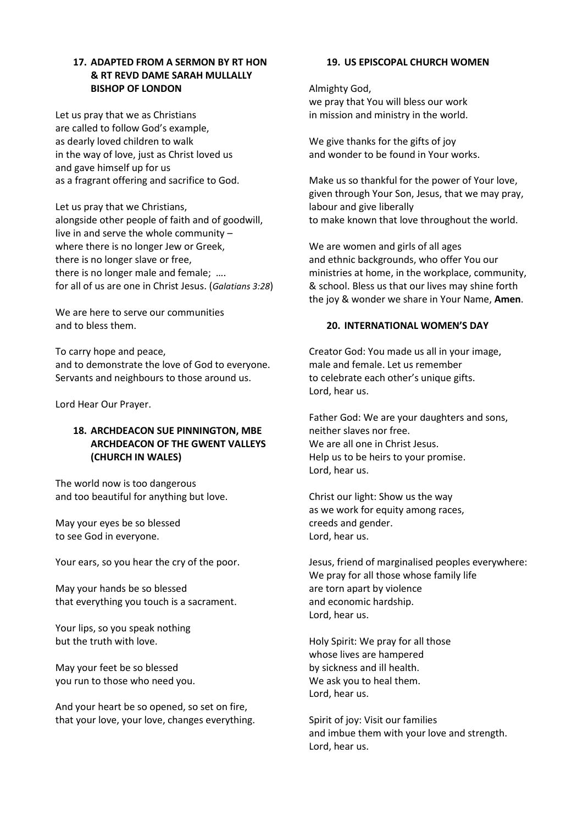## **17. ADAPTED FROM A SERMON BY RT HON & RT REVD DAME SARAH MULLALLY BISHOP OF LONDON**

Let us pray that we as Christians are called to follow God's example, as dearly loved children to walk in the way of love, just as Christ loved us and gave himself up for us as a fragrant offering and sacrifice to God.

Let us pray that we Christians, alongside other people of faith and of goodwill, live in and serve the whole community – where there is no longer Jew or Greek, there is no longer slave or free, there is no longer male and female; …. for all of us are one in Christ Jesus. (*Galatians 3:28*)

We are here to serve our communities and to bless them.

To carry hope and peace, and to demonstrate the love of God to everyone. Servants and neighbours to those around us.

Lord Hear Our Prayer.

# **18. ARCHDEACON SUE PINNINGTON, MBE ARCHDEACON OF THE GWENT VALLEYS (CHURCH IN WALES)**

The world now is too dangerous and too beautiful for anything but love.

May your eyes be so blessed to see God in everyone.

Your ears, so you hear the cry of the poor.

May your hands be so blessed that everything you touch is a sacrament.

Your lips, so you speak nothing but the truth with love.

May your feet be so blessed you run to those who need you.

And your heart be so opened, so set on fire, that your love, your love, changes everything.

#### **19. US EPISCOPAL CHURCH WOMEN**

Almighty God, we pray that You will bless our work in mission and ministry in the world.

We give thanks for the gifts of joy and wonder to be found in Your works.

Make us so thankful for the power of Your love, given through Your Son, Jesus, that we may pray, labour and give liberally to make known that love throughout the world.

We are women and girls of all ages and ethnic backgrounds, who offer You our ministries at home, in the workplace, community, & school. Bless us that our lives may shine forth the joy & wonder we share in Your Name, **Amen**.

#### **20. INTERNATIONAL WOMEN'S DAY**

Creator God: You made us all in your image, male and female. Let us remember to celebrate each other's unique gifts. Lord, hear us.

Father God: We are your daughters and sons, neither slaves nor free. We are all one in Christ Jesus. Help us to be heirs to your promise. Lord, hear us.

Christ our light: Show us the way as we work for equity among races, creeds and gender. Lord, hear us.

Jesus, friend of marginalised peoples everywhere: We pray for all those whose family life are torn apart by violence and economic hardship. Lord, hear us.

Holy Spirit: We pray for all those whose lives are hampered by sickness and ill health. We ask you to heal them. Lord, hear us.

Spirit of joy: Visit our families and imbue them with your love and strength. Lord, hear us.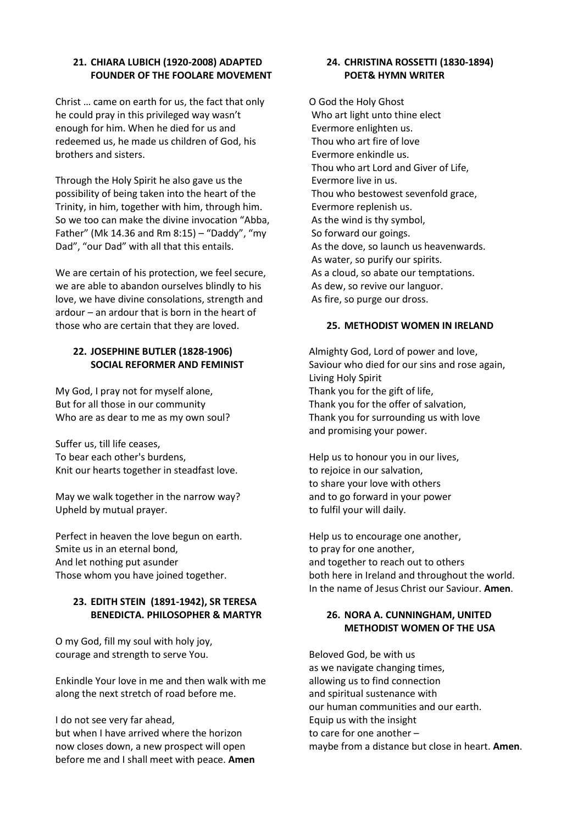## **21. CHIARA LUBICH (1920-2008) ADAPTED FOUNDER OF THE FOOLARE MOVEMENT**

Christ … came on earth for us, the fact that only he could pray in this privileged way wasn't enough for him. When he died for us and redeemed us, he made us children of God, his brothers and sisters.

Through the Holy Spirit he also gave us the possibility of being taken into the heart of the Trinity, in him, together with him, through him. So we too can make the divine invocation "Abba, Father" (Mk 14.36 and Rm 8:15) – "Daddy", "my Dad", "our Dad" with all that this entails.

We are certain of his protection, we feel secure, we are able to abandon ourselves blindly to his love, we have divine consolations, strength and ardour – an ardour that is born in the heart of those who are certain that they are loved.

#### **22. JOSEPHINE BUTLER (1828-1906) SOCIAL REFORMER AND FEMINIST**

My God, I pray not for myself alone, But for all those in our community Who are as dear to me as my own soul?

Suffer us, till life ceases, To bear each other's burdens, Knit our hearts together in steadfast love.

May we walk together in the narrow way? Upheld by mutual prayer.

Perfect in heaven the love begun on earth. Smite us in an eternal bond, And let nothing put asunder Those whom you have joined together.

## **23. EDITH STEIN (1891-1942), SR TERESA BENEDICTA. PHILOSOPHER & MARTYR**

O my God, fill my soul with holy joy, courage and strength to serve You.

Enkindle Your love in me and then walk with me along the next stretch of road before me.

I do not see very far ahead, but when I have arrived where the horizon now closes down, a new prospect will open before me and I shall meet with peace. **Amen**

## **24. CHRISTINA ROSSETTI (1830-1894) POET& HYMN WRITER**

O God the Holy Ghost Who art light unto thine elect Evermore enlighten us. Thou who art fire of love Evermore enkindle us. Thou who art Lord and Giver of Life, Evermore live in us. Thou who bestowest sevenfold grace, Evermore replenish us. As the wind is thy symbol, So forward our goings. As the dove, so launch us heavenwards. As water, so purify our spirits. As a cloud, so abate our temptations. As dew, so revive our languor. As fire, so purge our dross.

#### **25. METHODIST WOMEN IN IRELAND**

Almighty God, Lord of power and love, Saviour who died for our sins and rose again, Living Holy Spirit Thank you for the gift of life, Thank you for the offer of salvation, Thank you for surrounding us with love and promising your power.

Help us to honour you in our lives, to rejoice in our salvation, to share your love with others and to go forward in your power to fulfil your will daily.

Help us to encourage one another, to pray for one another, and together to reach out to others both here in Ireland and throughout the world. In the name of Jesus Christ our Saviour. **Amen**.

# **26. NORA A. CUNNINGHAM, UNITED METHODIST WOMEN OF THE USA**

Beloved God, be with us as we navigate changing times, allowing us to find connection and spiritual sustenance with our human communities and our earth. Equip us with the insight to care for one another – maybe from a distance but close in heart. **Amen**.